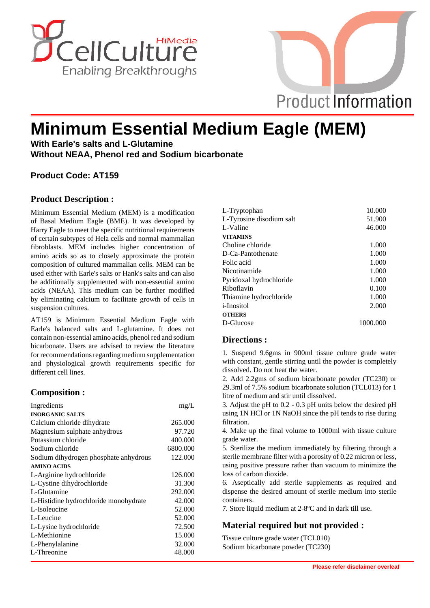



# **Minimum Essential Medium Eagle (MEM)**

**With Earle's salts and L-Glutamine Without NEAA, Phenol red and Sodium bicarbonate**

## **Product Code: AT159**

#### **Product Description :**

Minimum Essential Medium (MEM) is a modification of Basal Medium Eagle (BME). It was developed by Harry Eagle to meet the specific nutritional requirements of certain subtypes of Hela cells and normal mammalian fibroblasts. MEM includes higher concentration of amino acids so as to closely approximate the protein composition of cultured mammalian cells. MEM can be used either with Earle's salts or Hank's salts and can also be additionally supplemented with non-essential amino acids (NEAA). This medium can be further modified by eliminating calcium to facilitate growth of cells in suspension cultures.

AT159 is Minimum Essential Medium Eagle with Earle's balanced salts and L-glutamine. It does not contain non-essential amino acids, phenol red and sodium bicarbonate. Users are advised to review the literature for recommendations regarding medium supplementation and physiological growth requirements specific for different cell lines.

## **Composition :**

| Ingredients                           | mg/L     |
|---------------------------------------|----------|
| <b>INORGANIC SALTS</b>                |          |
| Calcium chloride dihydrate            | 265,000  |
| Magnesium sulphate anhydrous          | 97.720   |
| Potassium chloride                    | 400.000  |
| Sodium chloride                       | 6800.000 |
| Sodium dihydrogen phosphate anhydrous | 122.000  |
| <b>AMINO ACIDS</b>                    |          |
| L-Arginine hydrochloride              | 126.000  |
| L-Cystine dihydrochloride             | 31.300   |
| L-Glutamine                           | 292.000  |
| L-Histidine hydrochloride monohydrate | 42.000   |
| L-Isoleucine                          | 52.000   |
| L-Leucine                             | 52.000   |
| L-Lysine hydrochloride                | 72.500   |
| L-Methionine                          | 15.000   |
| L-Phenylalanine                       | 32.000   |
| L-Threonine                           | 48.000   |

| L-Tryptophan             | 10.000   |
|--------------------------|----------|
| L-Tyrosine disodium salt | 51.900   |
| L-Valine                 | 46.000   |
| <b>VITAMINS</b>          |          |
| Choline chloride         | 1.000    |
| D-Ca-Pantothenate        | 1.000    |
| Folic acid               | 1.000    |
| Nicotinamide             | 1.000    |
| Pyridoxal hydrochloride  | 1.000    |
| Riboflavin               | 0.100    |
| Thiamine hydrochloride   | 1.000    |
| <i>i</i> -Inositol       | 2.000    |
| <b>OTHERS</b>            |          |
| D-Glucose                | 1000.000 |
|                          |          |

#### **Directions :**

1. Suspend 9.6gms in 900ml tissue culture grade water with constant, gentle stirring until the powder is completely dissolved. Do not heat the water.

2. Add 2.2gms of sodium bicarbonate powder (TC230) or 29.3ml of 7.5% sodium bicarbonate solution (TCL013) for 1 litre of medium and stir until dissolved.

3. Adjust the pH to 0.2 - 0.3 pH units below the desired pH using 1N HCl or 1N NaOH since the pH tends to rise during filtration.

4. Make up the final volume to 1000ml with tissue culture grade water.

5. Sterilize the medium immediately by filtering through a sterile membrane filter with a porosity of 0.22 micron or less, using positive pressure rather than vacuum to minimize the loss of carbon dioxide.

6. Aseptically add sterile supplements as required and dispense the desired amount of sterile medium into sterile containers.

7. Store liquid medium at 2-8ºC and in dark till use.

## **Material required but not provided :**

Tissue culture grade water (TCL010) Sodium bicarbonate powder (TC230)